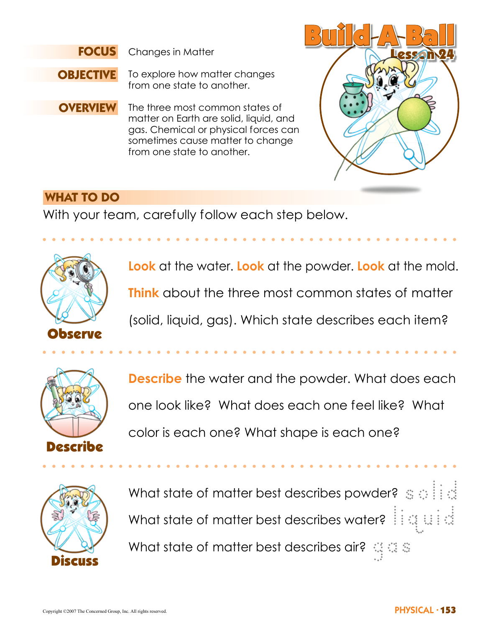

Changes in Matter



To explore how matter changes from one state to another.

**OVERVIEW** The three most common states of matter on Earth are solid, liquid, and gas. Chemical or physical forces can sometimes cause matter to change from one state to another.



### **WHAT TO DO**

With your team, carefully follow each step below.



**Look** at the water. **Look** at the powder. **Look** at the mold. **Think** about the three most common states of matter (solid, liquid, gas). Which state describes each item?



**Describe** the water and the powder. What does each one look like? What does each one feel like? What color is each one? What shape is each one?



What state of matter best describes powder?  $\circledast\otimes\mathbb{N}$ What state of matter best describes water?  $\mathbb{H} \otimes \mathbb{H}$ What state of matter best describes air?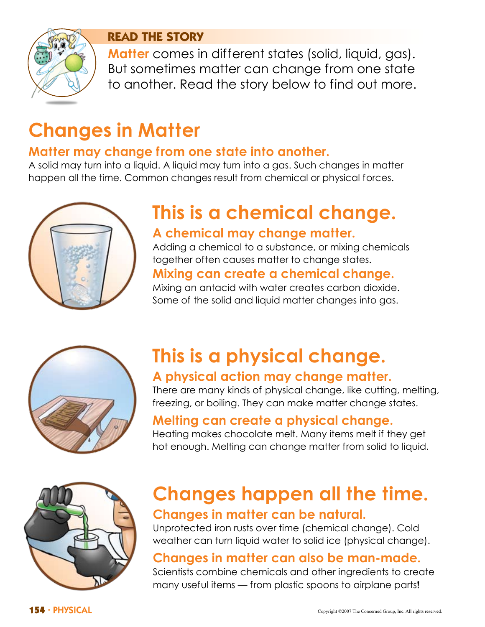

#### **READ THE STORY**

**Matter** comes in different states (solid, liquid, gas). But sometimes matter can change from one state to another. Read the story below to find out more.

# **Changes in Matter**

## **Matter may change from one state into another.**

A solid may turn into a liquid. A liquid may turn into a gas. Such changes in matter happen all the time. Common changes result from chemical or physical forces.



# **This is a chemical change. A chemical may change matter.**

Adding a chemical to a substance, or mixing chemicals together often causes matter to change states.

## **Mixing can create a chemical change.**

Mixing an antacid with water creates carbon dioxide. Some of the solid and liquid matter changes into gas.



# **This is a physical change. A physical action may change matter.**

There are many kinds of physical change, like cutting, melting, freezing, or boiling. They can make matter change states.

### **Melting can create a physical change.**

Heating makes chocolate melt. Many items melt if they get hot enough. Melting can change matter from solid to liquid.



# **Changes happen all the time. Changes in matter can be natural.**

Unprotected iron rusts over time (chemical change). Cold weather can turn liquid water to solid ice (physical change).

## **Changes in matter can also be man-made.**

Scientists combine chemicals and other ingredients to create many useful items — from plastic spoons to airplane parts!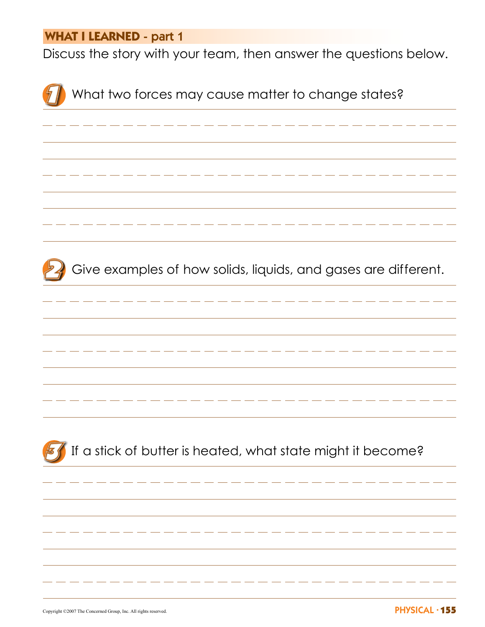#### **WHAT I LEARNED** - part 1

Discuss the story with your team, then answer the questions below.

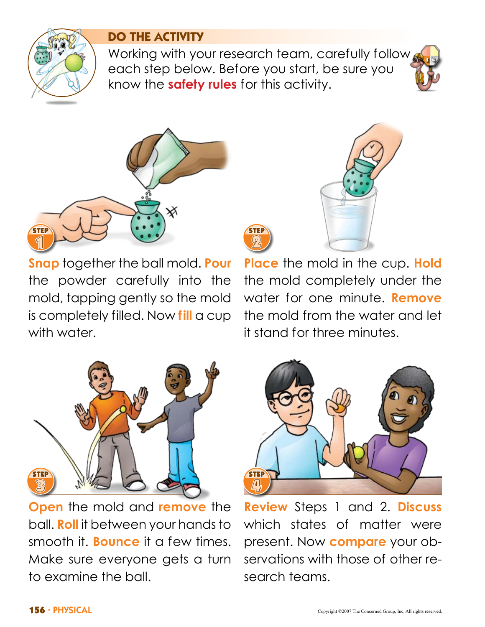

### **DO THE ACTIVITY**

Working with your research team, carefully follow each step below. Before you start, be sure you know the **safety rules** for this activity.



**Snap** together the ball mold. **Pour** the powder carefully into the mold, tapping gently so the mold is completely filled. Now **fill** a cup with water.



**Place** the mold in the cup. **Hold** the mold completely under the water for one minute. **Remove** the mold from the water and let it stand for three minutes.



**Open** the mold and **remove** the ball. **Roll** it between your hands to smooth it. **Bounce** it a few times. Make sure everyone gets a turn to examine the ball.



**Review** Steps 1 and 2. **Discuss** which states of matter were present. Now **compare** your observations with those of other research teams.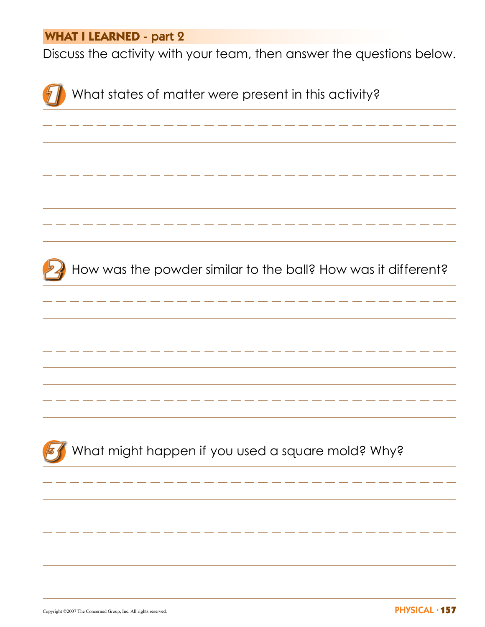#### **WHAT I LEARNED** - part 2

Discuss the activity with your team, then answer the questions below.



PHYSICAL Copyright ©2007 The Concerned Group, Inc. All rights reserved. • 157